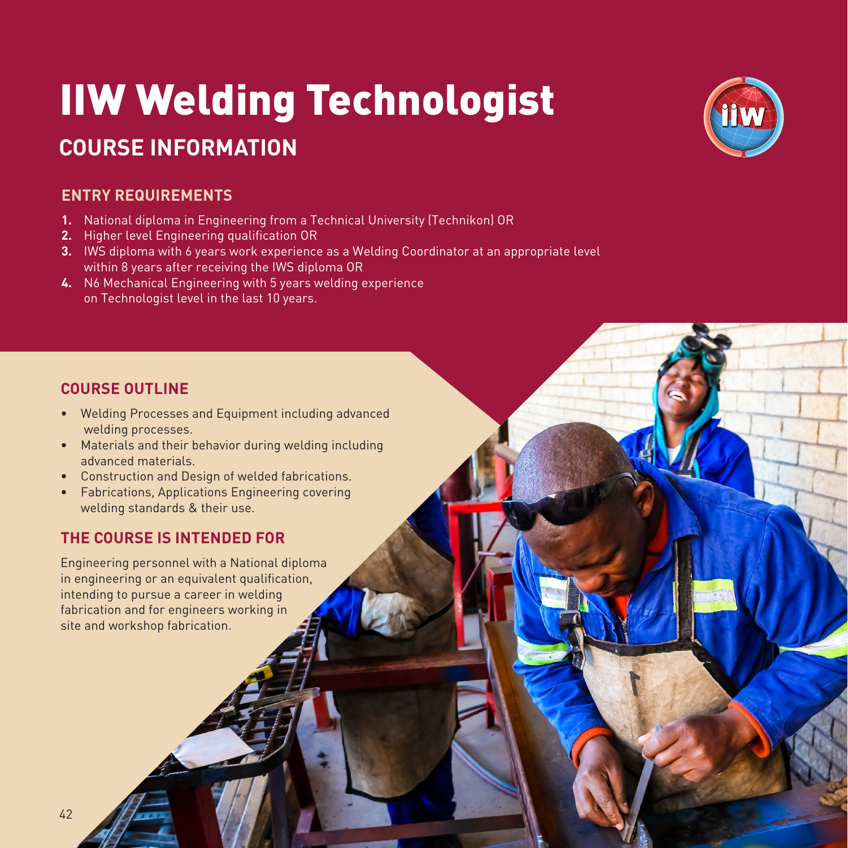# IIW Welding Technologist

## **COURSE INFORMATION**

## **ENTRY REQUIREMENTS**

- **1.** National diploma in Engineering from a Technical University (Technikon) OR
- **2.** Higher level Engineering qualification OR
- **3.** IWS diploma with 6 years work experience as a Welding Coordinator at an appropriate level within 8 years after receiving the IWS diploma OR
- **4.** N6 Mechanical Engineering with 5 years welding experience on Technologist level in the last 10 years.

## **COURSE OUTLINE**

- Welding Processes and Equipment including advanced welding processes.
- Materials and their behavior during welding including advanced materials.
- Construction and Design of welded fabrications.
- Fabrications, Applications Engineering covering welding standards & their use.

## **THE COURSE IS INTENDED FOR**

Engineering personnel with a National diploma in engineering or an equivalent qualification, intending to pursue a career in welding fabrication and for engineers working in site and workshop fabrication.